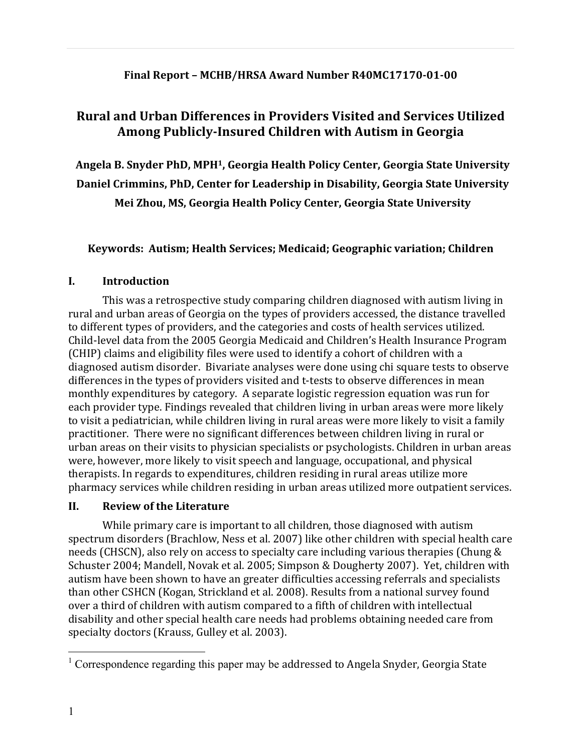### **Final Report – MCHB/HRSA Award Number R40MC17170-01-00**

# **Rural and Urban Differences in Providers Visited and Services Utilized Among Publicly-Insured Children with Autism in Georgia**

**Angela B. Snyder PhD, MPH1, Georgia Health Policy Center, Georgia State University Daniel Crimmins, PhD, Center for Leadership in Disability, Georgia State University Mei Zhou, MS, Georgia Health Policy Center, Georgia State University**

Keywords: Autism; Health Services; Medicaid; Geographic variation; Children

### **I. Introduction**

This was a retrospective study comparing children diagnosed with autism living in rural and urban areas of Georgia on the types of providers accessed, the distance travelled to different types of providers, and the categories and costs of health services utilized. Child-level data from the 2005 Georgia Medicaid and Children's Health Insurance Program (CHIP) claims and eligibility files were used to identify a cohort of children with a diagnosed autism disorder. Bivariate analyses were done using chi square tests to observe differences in the types of providers visited and t-tests to observe differences in mean monthly expenditures by category. A separate logistic regression equation was run for each provider type. Findings revealed that children living in urban areas were more likely to visit a pediatrician, while children living in rural areas were more likely to visit a family practitioner. There were no significant differences between children living in rural or urban areas on their visits to physician specialists or psychologists. Children in urban areas were, however, more likely to visit speech and language, occupational, and physical therapists. In regards to expenditures, children residing in rural areas utilize more pharmacy services while children residing in urban areas utilized more outpatient services.

# **II. Review of the Literature**

While primary care is important to all children, those diagnosed with autism spectrum disorders (Brachlow, Ness et al. 2007) like other children with special health care needs (CHSCN), also rely on access to specialty care including various therapies (Chung & Schuster 2004; Mandell, Novak et al. 2005; Simpson & Dougherty 2007). Yet, children with autism have been shown to have an greater difficulties accessing referrals and specialists than other CSHCN (Kogan, Strickland et al. 2008). Results from a national survey found over a third of children with autism compared to a fifth of children with intellectual disability and other special health care needs had problems obtaining needed care from specialty doctors (Krauss, Gulley et al. 2003).

 $1$  Correspondence regarding this paper may be addressed to Angela Snyder, Georgia State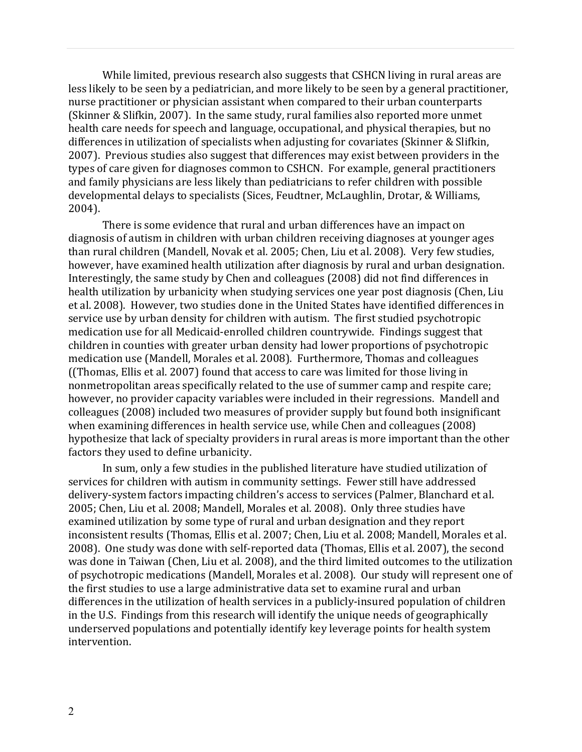While limited, previous research also suggests that CSHCN living in rural areas are less likely to be seen by a pediatrician, and more likely to be seen by a general practitioner, nurse practitioner or physician assistant when compared to their urban counterparts (Skinner & Slifkin, 2007). In the same study, rural families also reported more unmet health care needs for speech and language, occupational, and physical therapies, but no differences in utilization of specialists when adjusting for covariates (Skinner & Slifkin, 2007). Previous studies also suggest that differences may exist between providers in the types of care given for diagnoses common to CSHCN. For example, general practitioners and family physicians are less likely than pediatricians to refer children with possible developmental delays to specialists (Sices, Feudtner, McLaughlin, Drotar, & Williams, 2004). 

There is some evidence that rural and urban differences have an impact on diagnosis of autism in children with urban children receiving diagnoses at younger ages than rural children (Mandell, Novak et al. 2005; Chen, Liu et al. 2008). Very few studies, however, have examined health utilization after diagnosis by rural and urban designation. Interestingly, the same study by Chen and colleagues (2008) did not find differences in health utilization by urbanicity when studying services one year post diagnosis (Chen, Liu et al. 2008). However, two studies done in the United States have identified differences in service use by urban density for children with autism. The first studied psychotropic medication use for all Medicaid-enrolled children countrywide. Findings suggest that children in counties with greater urban density had lower proportions of psychotropic medication use (Mandell, Morales et al. 2008). Furthermore, Thomas and colleagues ((Thomas, Ellis et al. 2007) found that access to care was limited for those living in nonmetropolitan areas specifically related to the use of summer camp and respite care; however, no provider capacity variables were included in their regressions. Mandell and colleagues (2008) included two measures of provider supply but found both insignificant when examining differences in health service use, while Chen and colleagues (2008) hypothesize that lack of specialty providers in rural areas is more important than the other factors they used to define urbanicity.

In sum, only a few studies in the published literature have studied utilization of services for children with autism in community settings. Fewer still have addressed delivery-system factors impacting children's access to services (Palmer, Blanchard et al. 2005; Chen, Liu et al. 2008; Mandell, Morales et al. 2008). Only three studies have examined utilization by some type of rural and urban designation and they report inconsistent results (Thomas, Ellis et al. 2007; Chen, Liu et al. 2008; Mandell, Morales et al. 2008). One study was done with self-reported data (Thomas, Ellis et al. 2007), the second was done in Taiwan (Chen, Liu et al. 2008), and the third limited outcomes to the utilization of psychotropic medications (Mandell, Morales et al. 2008). Our study will represent one of the first studies to use a large administrative data set to examine rural and urban differences in the utilization of health services in a publicly-insured population of children in the U.S. Findings from this research will identify the unique needs of geographically underserved populations and potentially identify key leverage points for health system intervention.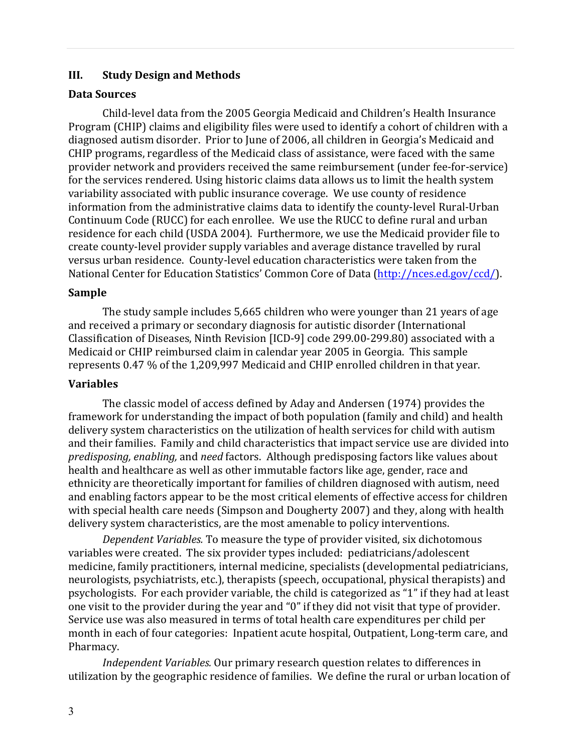### **III. Study Design and Methods**

#### Data Sources

Child-level data from the 2005 Georgia Medicaid and Children's Health Insurance Program (CHIP) claims and eligibility files were used to identify a cohort of children with a diagnosed autism disorder. Prior to June of 2006, all children in Georgia's Medicaid and CHIP programs, regardless of the Medicaid class of assistance, were faced with the same provider network and providers received the same reimbursement (under fee-for-service) for the services rendered. Using historic claims data allows us to limit the health system variability associated with public insurance coverage. We use county of residence information from the administrative claims data to identify the county-level Rural-Urban Continuum Code (RUCC) for each enrollee. We use the RUCC to define rural and urban residence for each child (USDA 2004). Furthermore, we use the Medicaid provider file to create county-level provider supply variables and average distance travelled by rural versus urban residence. County-level education characteristics were taken from the National Center for Education Statistics' Common Core of Data (http://nces.ed.gov/ccd/).

### **Sample**

The study sample includes 5,665 children who were younger than 21 years of age and received a primary or secondary diagnosis for autistic disorder (International Classification of Diseases, Ninth Revision [ICD-9] code 299.00-299.80) associated with a Medicaid or CHIP reimbursed claim in calendar year 2005 in Georgia. This sample represents 0.47 % of the 1,209,997 Medicaid and CHIP enrolled children in that year.

### **Variables**

The classic model of access defined by Aday and Andersen (1974) provides the framework for understanding the impact of both population (family and child) and health delivery system characteristics on the utilization of health services for child with autism and their families. Family and child characteristics that impact service use are divided into *predisposing, enabling,* and *need* factors. Although predisposing factors like values about health and healthcare as well as other immutable factors like age, gender, race and ethnicity are theoretically important for families of children diagnosed with autism, need and enabling factors appear to be the most critical elements of effective access for children with special health care needs (Simpson and Dougherty 2007) and they, along with health delivery system characteristics, are the most amenable to policy interventions.

*Dependent Variables.* To measure the type of provider visited, six dichotomous variables were created. The six provider types included: pediatricians/adolescent medicine, family practitioners, internal medicine, specialists (developmental pediatricians, neurologists, psychiatrists, etc.), therapists (speech, occupational, physical therapists) and psychologists. For each provider variable, the child is categorized as "1" if they had at least one visit to the provider during the year and "0" if they did not visit that type of provider. Service use was also measured in terms of total health care expenditures per child per month in each of four categories: Inpatient acute hospital, Outpatient, Long-term care, and Pharmacy. 

*Independent Variables.* Our primary research question relates to differences in utilization by the geographic residence of families. We define the rural or urban location of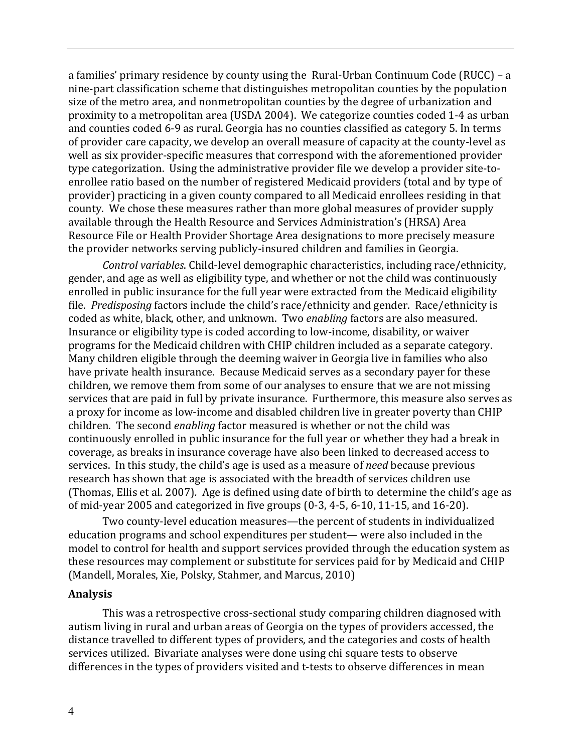a families' primary residence by county using the Rural-Urban Continuum Code (RUCC) – a nine-part classification scheme that distinguishes metropolitan counties by the population size of the metro area, and nonmetropolitan counties by the degree of urbanization and proximity to a metropolitan area (USDA 2004). We categorize counties coded 1-4 as urban and counties coded 6-9 as rural. Georgia has no counties classified as category 5. In terms of provider care capacity, we develop an overall measure of capacity at the county-level as well as six provider-specific measures that correspond with the aforementioned provider type categorization. Using the administrative provider file we develop a provider site-toenrollee ratio based on the number of registered Medicaid providers (total and by type of provider) practicing in a given county compared to all Medicaid enrollees residing in that county. We chose these measures rather than more global measures of provider supply available through the Health Resource and Services Administration's (HRSA) Area Resource File or Health Provider Shortage Area designations to more precisely measure the provider networks serving publicly-insured children and families in Georgia.

*Control variables*. Child-level demographic characteristics, including race/ethnicity, gender, and age as well as eligibility type, and whether or not the child was continuously enrolled in public insurance for the full year were extracted from the Medicaid eligibility file. *Predisposing* factors include the child's race/ethnicity and gender. Race/ethnicity is coded as white, black, other, and unknown. Two *enabling* factors are also measured. Insurance or eligibility type is coded according to low-income, disability, or waiver programs for the Medicaid children with CHIP children included as a separate category. Many children eligible through the deeming waiver in Georgia live in families who also have private health insurance. Because Medicaid serves as a secondary payer for these children, we remove them from some of our analyses to ensure that we are not missing services that are paid in full by private insurance. Furthermore, this measure also serves as a proxy for income as low-income and disabled children live in greater poverty than CHIP children. The second *enabling* factor measured is whether or not the child was continuously enrolled in public insurance for the full year or whether they had a break in coverage, as breaks in insurance coverage have also been linked to decreased access to services. In this study, the child's age is used as a measure of *need* because previous research has shown that age is associated with the breadth of services children use (Thomas, Ellis et al. 2007). Age is defined using date of birth to determine the child's age as of mid-year 2005 and categorized in five groups  $(0-3, 4-5, 6-10, 11-15,$  and  $16-20$ ).

Two county-level education measures—the percent of students in individualized education programs and school expenditures per student— were also included in the model to control for health and support services provided through the education system as these resources may complement or substitute for services paid for by Medicaid and CHIP (Mandell, Morales, Xie, Polsky, Stahmer, and Marcus, 2010)

#### **Analysis**

This was a retrospective cross-sectional study comparing children diagnosed with autism living in rural and urban areas of Georgia on the types of providers accessed, the distance travelled to different types of providers, and the categories and costs of health services utilized. Bivariate analyses were done using chi square tests to observe differences in the types of providers visited and t-tests to observe differences in mean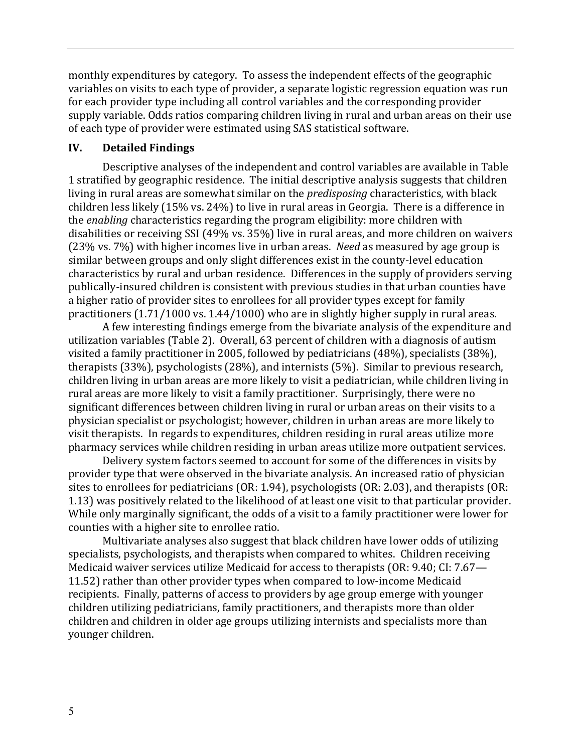monthly expenditures by category. To assess the independent effects of the geographic variables on visits to each type of provider, a separate logistic regression equation was run for each provider type including all control variables and the corresponding provider supply variable. Odds ratios comparing children living in rural and urban areas on their use of each type of provider were estimated using SAS statistical software.

#### **IV. Detailed Findings**

Descriptive analyses of the independent and control variables are available in Table 1 stratified by geographic residence. The initial descriptive analysis suggests that children living in rural areas are somewhat similar on the *predisposing* characteristics, with black children less likely  $(15\% \text{ vs. } 24\%)$  to live in rural areas in Georgia. There is a difference in the *enabling* characteristics regarding the program eligibility: more children with disabilities or receiving SSI (49% vs. 35%) live in rural areas, and more children on waivers (23% vs. 7%) with higher incomes live in urban areas. *Need* as measured by age group is similar between groups and only slight differences exist in the county-level education characteristics by rural and urban residence. Differences in the supply of providers serving publically-insured children is consistent with previous studies in that urban counties have a higher ratio of provider sites to enrollees for all provider types except for family practitioners  $(1.71/1000 \text{ vs. } 1.44/1000)$  who are in slightly higher supply in rural areas.

A few interesting findings emerge from the bivariate analysis of the expenditure and utilization variables (Table 2). Overall, 63 percent of children with a diagnosis of autism visited a family practitioner in 2005, followed by pediatricians  $(48%)$ , specialists  $(38%)$ , therapists  $(33%)$ , psychologists  $(28%)$ , and internists  $(5%)$ . Similar to previous research, children living in urban areas are more likely to visit a pediatrician, while children living in rural areas are more likely to visit a family practitioner. Surprisingly, there were no significant differences between children living in rural or urban areas on their visits to a physician specialist or psychologist; however, children in urban areas are more likely to visit therapists. In regards to expenditures, children residing in rural areas utilize more pharmacy services while children residing in urban areas utilize more outpatient services.

Delivery system factors seemed to account for some of the differences in visits by provider type that were observed in the bivariate analysis. An increased ratio of physician sites to enrollees for pediatricians  $(OR: 1.94)$ , psychologists  $(OR: 2.03)$ , and therapists  $(OR: 2.03)$ 1.13) was positively related to the likelihood of at least one visit to that particular provider. While only marginally significant, the odds of a visit to a family practitioner were lower for counties with a higher site to enrollee ratio.

Multivariate analyses also suggest that black children have lower odds of utilizing specialists, psychologists, and therapists when compared to whites. Children receiving Medicaid waiver services utilize Medicaid for access to therapists  $(OR: 9.40; CI: 7.67$ — 11.52) rather than other provider types when compared to low-income Medicaid recipients. Finally, patterns of access to providers by age group emerge with younger children utilizing pediatricians, family practitioners, and therapists more than older children and children in older age groups utilizing internists and specialists more than younger children.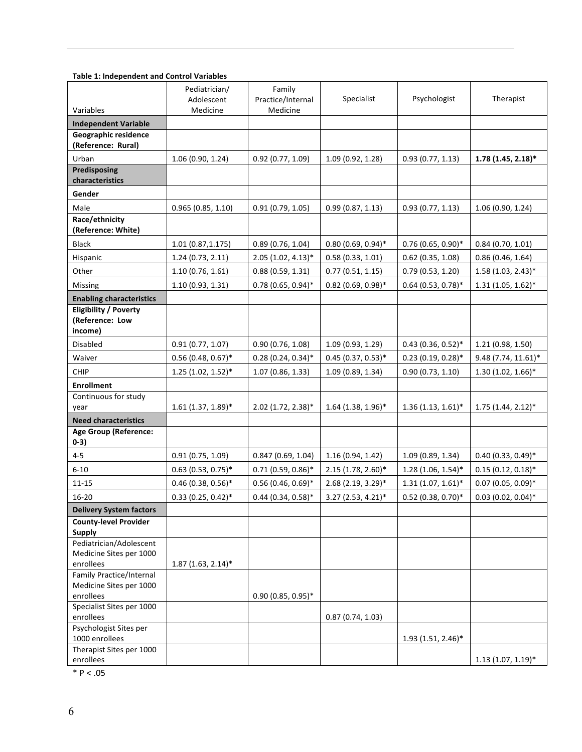#### **Table 1: Independent and Control Variables**

|                                                            | Pediatrician/<br>Adolescent | Family<br>Practice/Internal | Specialist           | Psychologist         | Therapist            |
|------------------------------------------------------------|-----------------------------|-----------------------------|----------------------|----------------------|----------------------|
| Variables                                                  | Medicine                    | Medicine                    |                      |                      |                      |
| <b>Independent Variable</b><br>Geographic residence        |                             |                             |                      |                      |                      |
| (Reference: Rural)                                         |                             |                             |                      |                      |                      |
| Urban                                                      | 1.06 (0.90, 1.24)           | 0.92(0.77, 1.09)            | 1.09 (0.92, 1.28)    | 0.93(0.77, 1.13)     | $1.78(1.45, 2.18)$ * |
| Predisposing                                               |                             |                             |                      |                      |                      |
| characteristics                                            |                             |                             |                      |                      |                      |
| Gender                                                     |                             |                             |                      |                      |                      |
| Male                                                       | 0.965(0.85, 1.10)           | 0.91(0.79, 1.05)            | 0.99(0.87, 1.13)     | 0.93(0.77, 1.13)     | 1.06(0.90, 1.24)     |
| Race/ethnicity<br>(Reference: White)                       |                             |                             |                      |                      |                      |
| <b>Black</b>                                               | 1.01(0.87, 1.175)           | 0.89(0.76, 1.04)            | $0.80(0.69, 0.94)$ * | $0.76$ (0.65, 0.90)* | 0.84(0.70, 1.01)     |
| Hispanic                                                   | 1.24(0.73, 2.11)            | $2.05(1.02, 4.13)^*$        | 0.58(0.33, 1.01)     | $0.62$ (0.35, 1.08)  | 0.86(0.46, 1.64)     |
| Other                                                      | 1.10(0.76, 1.61)            | 0.88(0.59, 1.31)            | 0.77(0.51, 1.15)     | 0.79(0.53, 1.20)     | $1.58(1.03, 2.43)^*$ |
| Missing                                                    | 1.10(0.93, 1.31)            | $0.78$ (0.65, 0.94)*        | $0.82$ (0.69, 0.98)* | $0.64$ (0.53, 0.78)* | $1.31$ (1.05, 1.62)* |
| <b>Enabling characteristics</b>                            |                             |                             |                      |                      |                      |
| <b>Eligibility / Poverty</b><br>(Reference: Low<br>income) |                             |                             |                      |                      |                      |
| Disabled                                                   | 0.91(0.77, 1.07)            | 0.90(0.76, 1.08)            | 1.09(0.93, 1.29)     | $0.43$ (0.36, 0.52)* | 1.21 (0.98, 1.50)    |
| Waiver                                                     | $0.56$ (0.48, 0.67)*        | $0.28(0.24, 0.34)$ *        | $0.45(0.37, 0.53)*$  | $0.23(0.19, 0.28)$ * | 9.48 (7.74, 11.61)*  |
| CHIP                                                       | $1.25(1.02, 1.52)^*$        | 1.07(0.86, 1.33)            | 1.09(0.89, 1.34)     | 0.90(0.73, 1.10)     | $1.30(1.02, 1.66)$ * |
| <b>Enrollment</b>                                          |                             |                             |                      |                      |                      |
| Continuous for study                                       |                             |                             |                      |                      |                      |
| year                                                       | $1.61$ (1.37, 1.89)*        | 2.02 (1.72, 2.38)*          | $1.64$ (1.38, 1.96)* | $1.36(1.13, 1.61)^*$ | $1.75$ (1.44, 2.12)* |
| <b>Need characteristics</b>                                |                             |                             |                      |                      |                      |
| <b>Age Group (Reference:</b><br>$0-3)$                     |                             |                             |                      |                      |                      |
| $4 - 5$                                                    | 0.91(0.75, 1.09)            | 0.847(0.69, 1.04)           | 1.16(0.94, 1.42)     | 1.09(0.89, 1.34)     | $0.40$ (0.33, 0.49)* |
| $6 - 10$                                                   | $0.63$ (0.53, 0.75)*        | $0.71$ (0.59, 0.86)*        | 2.15 (1.78, 2.60)*   | $1.28(1.06, 1.54)$ * | $0.15(0.12, 0.18)$ * |
| $11 - 15$                                                  | $0.46$ (0.38, 0.56)*        | $0.56(0.46, 0.69)$ *        | 2.68 (2.19, 3.29)*   | $1.31(1.07, 1.61)^*$ | $0.07$ (0.05, 0.09)* |
| 16-20                                                      | $0.33(0.25, 0.42)^*$        | $0.44$ (0.34, 0.58)*        | 3.27 (2.53, 4.21)*   | $0.52$ (0.38, 0.70)* | $0.03$ (0.02, 0.04)* |
| <b>Delivery System factors</b>                             |                             |                             |                      |                      |                      |
| <b>County-level Provider</b>                               |                             |                             |                      |                      |                      |
| <b>Supply</b><br>Pediatrician/Adolescent                   |                             |                             |                      |                      |                      |
| Medicine Sites per 1000                                    |                             |                             |                      |                      |                      |
| enrollees                                                  | $1.87(1.63, 2.14)^*$        |                             |                      |                      |                      |
| Family Practice/Internal                                   |                             |                             |                      |                      |                      |
| Medicine Sites per 1000<br>enrollees                       |                             | $0.90(0.85, 0.95)^*$        |                      |                      |                      |
| Specialist Sites per 1000                                  |                             |                             |                      |                      |                      |
| enrollees                                                  |                             |                             | 0.87(0.74, 1.03)     |                      |                      |
| Psychologist Sites per                                     |                             |                             |                      |                      |                      |
| 1000 enrollees<br>Therapist Sites per 1000                 |                             |                             |                      | $1.93(1.51, 2.46)^*$ |                      |
| enrollees                                                  |                             |                             |                      |                      | $1.13$ (1.07, 1.19)* |

 $*$  P < .05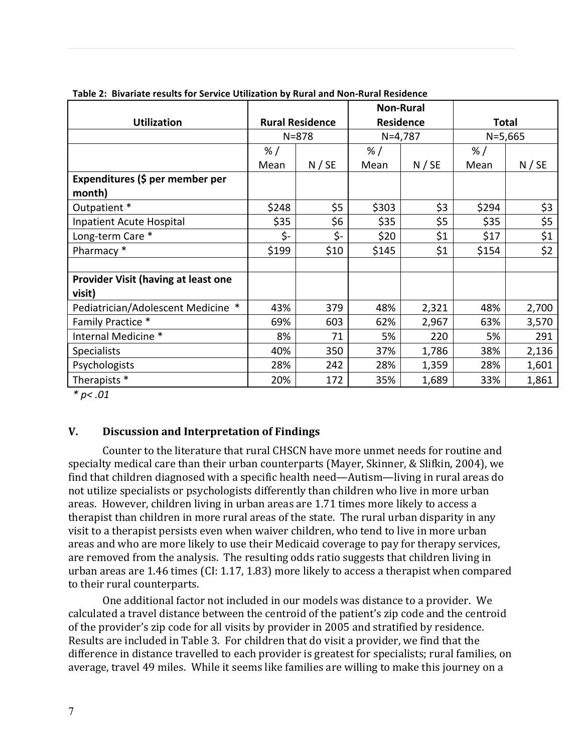|                                            |                        |        | <b>Non-Rural</b> |        |              |        |
|--------------------------------------------|------------------------|--------|------------------|--------|--------------|--------|
| <b>Utilization</b>                         | <b>Rural Residence</b> |        | <b>Residence</b> |        | <b>Total</b> |        |
|                                            | $N = 878$              |        | $N=4,787$        |        | $N = 5,665$  |        |
|                                            | % /                    |        | % /              |        | % /          |        |
|                                            | Mean                   | N / SE | Mean             | N / SE | Mean         | N / SE |
| Expenditures (\$ per member per            |                        |        |                  |        |              |        |
| month)                                     |                        |        |                  |        |              |        |
| Outpatient *                               | \$248                  | \$5    | \$303            | \$3    | \$294        | \$3    |
| Inpatient Acute Hospital                   | \$35                   | \$6    | \$35             | \$5    | \$35         | \$5    |
| Long-term Care *                           | \$-                    | \$-    | \$20             | \$1    | \$17         | \$1    |
| Pharmacy *                                 | \$199                  | \$10   | \$145            | \$1    | \$154        | \$2    |
|                                            |                        |        |                  |        |              |        |
| <b>Provider Visit (having at least one</b> |                        |        |                  |        |              |        |
| visit)                                     |                        |        |                  |        |              |        |
| $\ast$<br>Pediatrician/Adolescent Medicine | 43%                    | 379    | 48%              | 2,321  | 48%          | 2,700  |
| Family Practice *                          | 69%                    | 603    | 62%              | 2,967  | 63%          | 3,570  |
| Internal Medicine *                        | 8%                     | 71     | 5%               | 220    | 5%           | 291    |
| <b>Specialists</b>                         | 40%                    | 350    | 37%              | 1,786  | 38%          | 2,136  |
| Psychologists                              | 28%                    | 242    | 28%              | 1,359  | 28%          | 1,601  |
| Therapists *                               | 20%                    | 172    | 35%              | 1,689  | 33%          | 1,861  |

**Table 2: Bivariate results for Service Utilization by Rural and Non-Rural Residence** 

*\* p< .01*

### **V. Discussion and Interpretation of Findings**

Counter to the literature that rural CHSCN have more unmet needs for routine and specialty medical care than their urban counterparts (Mayer, Skinner, & Slifkin, 2004), we find that children diagnosed with a specific health need—Autism—living in rural areas do not utilize specialists or psychologists differently than children who live in more urban areas. However, children living in urban areas are 1.71 times more likely to access a therapist than children in more rural areas of the state. The rural urban disparity in any visit to a therapist persists even when waiver children, who tend to live in more urban areas and who are more likely to use their Medicaid coverage to pay for therapy services, are removed from the analysis. The resulting odds ratio suggests that children living in urban areas are  $1.46$  times  $\left(CI: 1.17, 1.83\right)$  more likely to access a therapist when compared to their rural counterparts.

One additional factor not included in our models was distance to a provider. We calculated a travel distance between the centroid of the patient's zip code and the centroid of the provider's zip code for all visits by provider in 2005 and stratified by residence. Results are included in Table 3. For children that do visit a provider, we find that the difference in distance travelled to each provider is greatest for specialists; rural families, on average, travel 49 miles. While it seems like families are willing to make this journey on a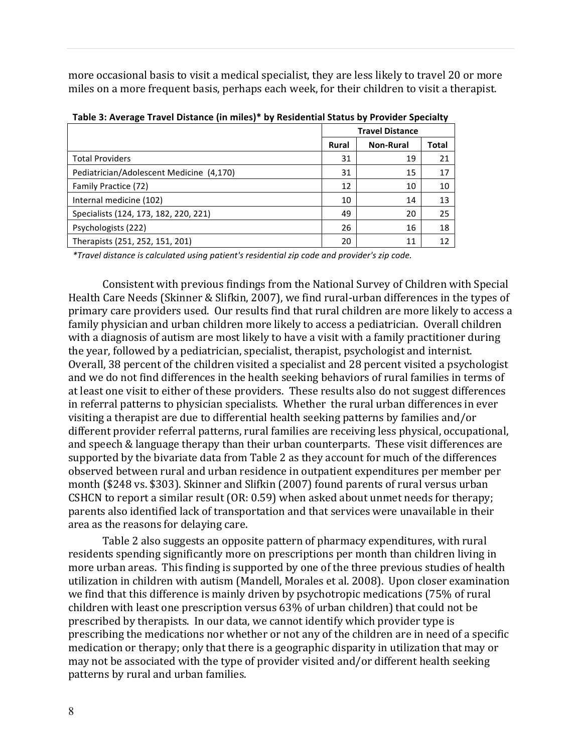more occasional basis to visit a medical specialist, they are less likely to travel 20 or more miles on a more frequent basis, perhaps each week, for their children to visit a therapist.

|                                          |              | <b>Travel Distance</b> |       |  |
|------------------------------------------|--------------|------------------------|-------|--|
|                                          | <b>Rural</b> | <b>Non-Rural</b>       | Total |  |
| <b>Total Providers</b>                   | 31           | 19                     | 21    |  |
| Pediatrician/Adolescent Medicine (4,170) | 31           | 15                     | 17    |  |
| Family Practice (72)                     | 12           | 10                     | 10    |  |
| Internal medicine (102)                  | 10           | 14                     | 13    |  |
| Specialists (124, 173, 182, 220, 221)    | 49           | 20                     | 25    |  |
| Psychologists (222)                      | 26           | 16                     | 18    |  |
| Therapists (251, 252, 151, 201)          | 20           | 11                     | 12    |  |

| Table 3: Average Travel Distance (in miles)* by Residential Status by Provider Specialty |  |  |
|------------------------------------------------------------------------------------------|--|--|
|------------------------------------------------------------------------------------------|--|--|

*\*Travel distance is calculated using patient's residential zip code and provider's zip code.*

Consistent with previous findings from the National Survey of Children with Special Health Care Needs (Skinner & Slifkin, 2007), we find rural-urban differences in the types of primary care providers used. Our results find that rural children are more likely to access a family physician and urban children more likely to access a pediatrician. Overall children with a diagnosis of autism are most likely to have a visit with a family practitioner during the year, followed by a pediatrician, specialist, therapist, psychologist and internist. Overall, 38 percent of the children visited a specialist and 28 percent visited a psychologist and we do not find differences in the health seeking behaviors of rural families in terms of at least one visit to either of these providers. These results also do not suggest differences in referral patterns to physician specialists. Whether the rural urban differences in ever visiting a therapist are due to differential health seeking patterns by families and/or different provider referral patterns, rural families are receiving less physical, occupational, and speech & language therapy than their urban counterparts. These visit differences are supported by the bivariate data from Table 2 as they account for much of the differences observed between rural and urban residence in outpatient expenditures per member per month (\$248 vs. \$303). Skinner and Slifkin (2007) found parents of rural versus urban CSHCN to report a similar result  $(OR: 0.59)$  when asked about unmet needs for therapy; parents also identified lack of transportation and that services were unavailable in their area as the reasons for delaying care.

Table 2 also suggests an opposite pattern of pharmacy expenditures, with rural residents spending significantly more on prescriptions per month than children living in more urban areas. This finding is supported by one of the three previous studies of health utilization in children with autism (Mandell, Morales et al. 2008). Upon closer examination we find that this difference is mainly driven by psychotropic medications (75% of rural children with least one prescription versus 63% of urban children) that could not be prescribed by therapists. In our data, we cannot identify which provider type is prescribing the medications nor whether or not any of the children are in need of a specific medication or therapy; only that there is a geographic disparity in utilization that may or may not be associated with the type of provider visited and/or different health seeking patterns by rural and urban families.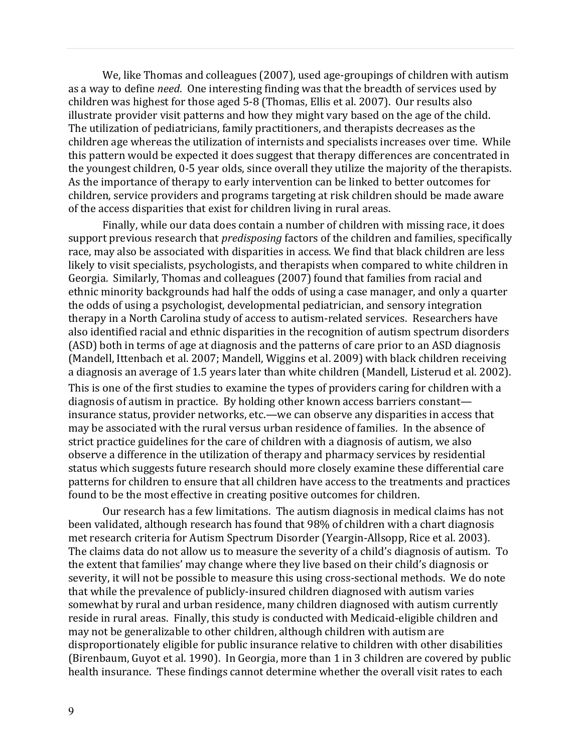We, like Thomas and colleagues (2007), used age-groupings of children with autism as a way to define *need*. One interesting finding was that the breadth of services used by children was highest for those aged 5-8 (Thomas, Ellis et al. 2007). Our results also illustrate provider visit patterns and how they might vary based on the age of the child. The utilization of pediatricians, family practitioners, and therapists decreases as the children age whereas the utilization of internists and specialists increases over time. While this pattern would be expected it does suggest that therapy differences are concentrated in the youngest children, 0-5 year olds, since overall they utilize the majority of the therapists. As the importance of therapy to early intervention can be linked to better outcomes for children, service providers and programs targeting at risk children should be made aware of the access disparities that exist for children living in rural areas.

Finally, while our data does contain a number of children with missing race, it does support previous research that *predisposing* factors of the children and families, specifically race, may also be associated with disparities in access. We find that black children are less likely to visit specialists, psychologists, and therapists when compared to white children in Georgia. Similarly, Thomas and colleagues (2007) found that families from racial and ethnic minority backgrounds had half the odds of using a case manager, and only a quarter the odds of using a psychologist, developmental pediatrician, and sensory integration therapy in a North Carolina study of access to autism-related services. Researchers have also identified racial and ethnic disparities in the recognition of autism spectrum disorders (ASD) both in terms of age at diagnosis and the patterns of care prior to an ASD diagnosis (Mandell, Ittenbach et al. 2007; Mandell, Wiggins et al. 2009) with black children receiving a diagnosis an average of 1.5 years later than white children (Mandell, Listerud et al. 2002). This is one of the first studies to examine the types of providers caring for children with a diagnosis of autism in practice. By holding other known access barriers constant insurance status, provider networks, etc.—we can observe any disparities in access that may be associated with the rural versus urban residence of families. In the absence of strict practice guidelines for the care of children with a diagnosis of autism, we also observe a difference in the utilization of therapy and pharmacy services by residential status which suggests future research should more closely examine these differential care patterns for children to ensure that all children have access to the treatments and practices found to be the most effective in creating positive outcomes for children.

Our research has a few limitations. The autism diagnosis in medical claims has not been validated, although research has found that 98% of children with a chart diagnosis met research criteria for Autism Spectrum Disorder (Yeargin-Allsopp, Rice et al. 2003). The claims data do not allow us to measure the severity of a child's diagnosis of autism. To the extent that families' may change where they live based on their child's diagnosis or severity, it will not be possible to measure this using cross-sectional methods. We do note that while the prevalence of publicly-insured children diagnosed with autism varies somewhat by rural and urban residence, many children diagnosed with autism currently reside in rural areas. Finally, this study is conducted with Medicaid-eligible children and may not be generalizable to other children, although children with autism are disproportionately eligible for public insurance relative to children with other disabilities (Birenbaum, Guyot et al. 1990). In Georgia, more than 1 in 3 children are covered by public health insurance. These findings cannot determine whether the overall visit rates to each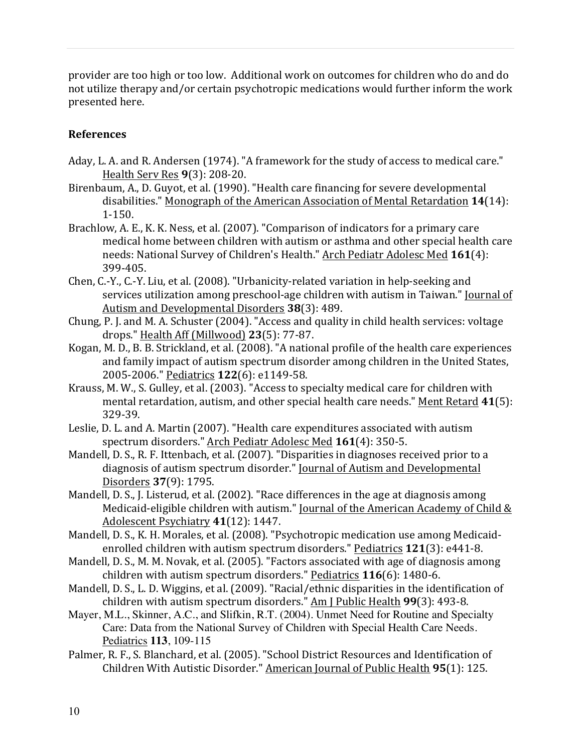provider are too high or too low. Additional work on outcomes for children who do and do not utilize therapy and/or certain psychotropic medications would further inform the work presented here.

# **References**

- Aday, L. A. and R. Andersen (1974). "A framework for the study of access to medical care." Health Serv Res **9**(3): 208-20.
- Birenbaum, A., D. Guyot, et al. (1990). "Health care financing for severe developmental disabilities." Monograph of the American Association of Mental Retardation 14(14): 1-150.
- Brachlow, A. E., K. K. Ness, et al. (2007). "Comparison of indicators for a primary care medical home between children with autism or asthma and other special health care needs: National Survey of Children's Health." Arch Pediatr Adolesc Med 161(4): 399-405.
- Chen, C.-Y., C.-Y. Liu, et al. (2008). "Urbanicity-related variation in help-seeking and services utilization among preschool-age children with autism in Taiwan." Journal of Autism and Developmental Disorders 38(3): 489.
- Chung, P. J. and M. A. Schuster  $(2004)$ . "Access and quality in child health services: voltage drops." Health Aff (Millwood) **23**(5): 77-87.
- Kogan, M. D., B. B. Strickland, et al. (2008). "A national profile of the health care experiences and family impact of autism spectrum disorder among children in the United States, 2005-2006." Pediatrics **122**(6): e1149-58.
- Krauss, M. W., S. Gulley, et al. (2003). "Access to specialty medical care for children with mental retardation, autism, and other special health care needs." Ment Retard 41(5): 329-39.
- Leslie, D. L. and A. Martin (2007). "Health care expenditures associated with autism spectrum disorders." Arch Pediatr Adolesc Med 161(4): 350-5.
- Mandell, D. S., R. F. Ittenbach, et al. (2007). "Disparities in diagnoses received prior to a diagnosis of autism spectrum disorder." Journal of Autism and Developmental Disorders **37**(9): 1795.
- Mandell, D. S., J. Listerud, et al. (2002). "Race differences in the age at diagnosis among Medicaid-eligible children with autism." Journal of the American Academy of Child  $&$ Adolescent Psychiatry 41(12): 1447.
- Mandell, D. S., K. H. Morales, et al. (2008). "Psychotropic medication use among Medicaidenrolled children with autism spectrum disorders." Pediatrics 121(3): e441-8.
- Mandell, D. S., M. M. Novak, et al. (2005). "Factors associated with age of diagnosis among children with autism spectrum disorders." Pediatrics 116(6): 1480-6.
- Mandell, D. S., L. D. Wiggins, et al. (2009). "Racial/ethnic disparities in the identification of children with autism spectrum disorders." Am J Public Health **99**(3): 493-8.
- Mayer, M.L., Skinner, A.C., and Slifkin, R.T. (2004). Unmet Need for Routine and Specialty Care: Data from the National Survey of Children with Special Health Care Needs. Pediatrics **113**, 109-115
- Palmer, R. F., S. Blanchard, et al. (2005). "School District Resources and Identification of Children With Autistic Disorder." American Journal of Public Health 95(1): 125.